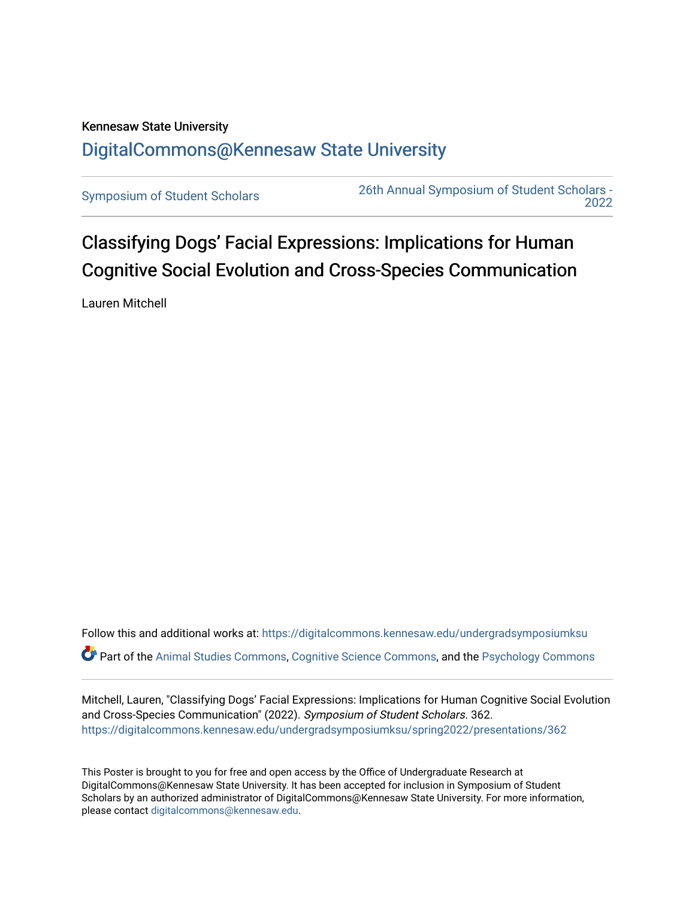## Kennesaw State University [DigitalCommons@Kennesaw State University](https://digitalcommons.kennesaw.edu/)

[Symposium of Student Scholars](https://digitalcommons.kennesaw.edu/undergradsymposiumksu) [26th Annual Symposium of Student Scholars -](https://digitalcommons.kennesaw.edu/undergradsymposiumksu/spring2022)  [2022](https://digitalcommons.kennesaw.edu/undergradsymposiumksu/spring2022) 

Classifying Dogs' Facial Expressions: Implications for Human Cognitive Social Evolution and Cross-Species Communication

Lauren Mitchell

Follow this and additional works at: [https://digitalcommons.kennesaw.edu/undergradsymposiumksu](https://digitalcommons.kennesaw.edu/undergradsymposiumksu?utm_source=digitalcommons.kennesaw.edu%2Fundergradsymposiumksu%2Fspring2022%2Fpresentations%2F362&utm_medium=PDF&utm_campaign=PDFCoverPages)  Part of the [Animal Studies Commons,](http://network.bepress.com/hgg/discipline/1306?utm_source=digitalcommons.kennesaw.edu%2Fundergradsymposiumksu%2Fspring2022%2Fpresentations%2F362&utm_medium=PDF&utm_campaign=PDFCoverPages) [Cognitive Science Commons,](http://network.bepress.com/hgg/discipline/1437?utm_source=digitalcommons.kennesaw.edu%2Fundergradsymposiumksu%2Fspring2022%2Fpresentations%2F362&utm_medium=PDF&utm_campaign=PDFCoverPages) and the [Psychology Commons](http://network.bepress.com/hgg/discipline/404?utm_source=digitalcommons.kennesaw.edu%2Fundergradsymposiumksu%2Fspring2022%2Fpresentations%2F362&utm_medium=PDF&utm_campaign=PDFCoverPages)

Mitchell, Lauren, "Classifying Dogs' Facial Expressions: Implications for Human Cognitive Social Evolution and Cross-Species Communication" (2022). Symposium of Student Scholars. 362. [https://digitalcommons.kennesaw.edu/undergradsymposiumksu/spring2022/presentations/362](https://digitalcommons.kennesaw.edu/undergradsymposiumksu/spring2022/presentations/362?utm_source=digitalcommons.kennesaw.edu%2Fundergradsymposiumksu%2Fspring2022%2Fpresentations%2F362&utm_medium=PDF&utm_campaign=PDFCoverPages)

This Poster is brought to you for free and open access by the Office of Undergraduate Research at DigitalCommons@Kennesaw State University. It has been accepted for inclusion in Symposium of Student Scholars by an authorized administrator of DigitalCommons@Kennesaw State University. For more information, please contact [digitalcommons@kennesaw.edu.](mailto:digitalcommons@kennesaw.edu)